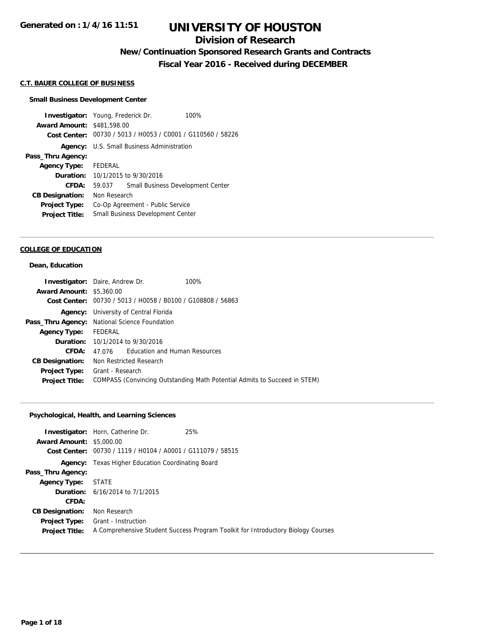## **Division of Research**

# **New/Continuation Sponsored Research Grants and Contracts**

**Fiscal Year 2016 - Received during DECEMBER**

## **C.T. BAUER COLLEGE OF BUSINESS**

#### **Small Business Development Center**

**Investigator:** Young, Frederick Dr. 100% **Award Amount:** \$481,598.00 **Cost Center:** 00730 / 5013 / H0053 / C0001 / G110560 / 58226 **Agency:** U.S. Small Business Administration **Pass\_Thru Agency: Agency Type:** FEDERAL **Duration:** 10/1/2015 to 9/30/2016 **CFDA:** 59.037 Small Business Development Center **CB Designation:** Non Research **Project Type:** Co-Op Agreement - Public Service **Project Title:** Small Business Development Center

## **COLLEGE OF EDUCATION**

#### **Dean, Education**

| <b>Investigator:</b> Daire, Andrew Dr.        |                                                             |                                         | 100%                                                                      |
|-----------------------------------------------|-------------------------------------------------------------|-----------------------------------------|---------------------------------------------------------------------------|
| <b>Award Amount: \$5,360.00</b>               |                                                             |                                         |                                                                           |
|                                               | Cost Center: 00730 / 5013 / H0058 / B0100 / G108808 / 56863 |                                         |                                                                           |
| Agency:                                       |                                                             | University of Central Florida           |                                                                           |
| Pass_Thru Agency: National Science Foundation |                                                             |                                         |                                                                           |
| <b>Agency Type:</b>                           | FEDERAL                                                     |                                         |                                                                           |
|                                               |                                                             | <b>Duration:</b> 10/1/2014 to 9/30/2016 |                                                                           |
| CFDA:                                         | 47.076                                                      | Education and Human Resources           |                                                                           |
| <b>CB Designation:</b>                        |                                                             | Non Restricted Research                 |                                                                           |
| <b>Project Type:</b>                          | Grant - Research                                            |                                         |                                                                           |
| <b>Project Title:</b>                         |                                                             |                                         | COMPASS (Convincing Outstanding Math Potential Admits to Succeed in STEM) |

## **Psychological, Health, and Learning Sciences**

|                                 | 25%<br><b>Investigator:</b> Horn, Catherine Dr.             |                                                                                  |
|---------------------------------|-------------------------------------------------------------|----------------------------------------------------------------------------------|
| <b>Award Amount: \$5,000.00</b> |                                                             |                                                                                  |
|                                 | Cost Center: 00730 / 1119 / H0104 / A0001 / G111079 / 58515 |                                                                                  |
|                                 | <b>Agency:</b> Texas Higher Education Coordinating Board    |                                                                                  |
| Pass_Thru Agency:               |                                                             |                                                                                  |
| <b>Agency Type: STATE</b>       |                                                             |                                                                                  |
|                                 | <b>Duration:</b> 6/16/2014 to 7/1/2015                      |                                                                                  |
| CFDA:                           |                                                             |                                                                                  |
| <b>CB Designation:</b>          | Non Research                                                |                                                                                  |
| <b>Project Type:</b>            | Grant - Instruction                                         |                                                                                  |
| <b>Project Title:</b>           |                                                             | A Comprehensive Student Success Program Toolkit for Introductory Biology Courses |
|                                 |                                                             |                                                                                  |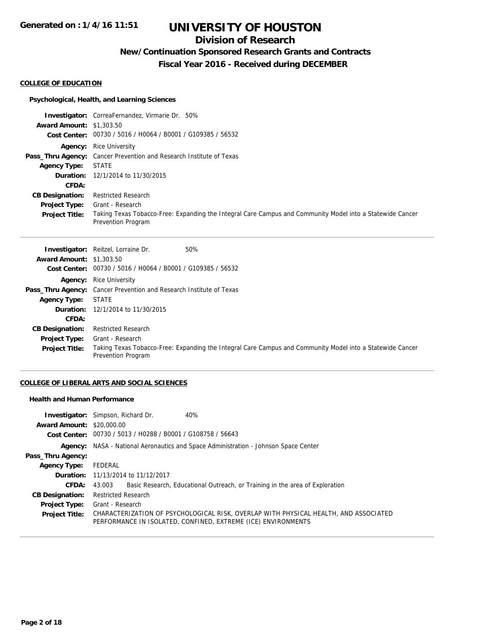## **Division of Research**

# **New/Continuation Sponsored Research Grants and Contracts**

**Fiscal Year 2016 - Received during DECEMBER**

#### **COLLEGE OF EDUCATION**

## **Psychological, Health, and Learning Sciences**

|                                 | <b>Investigator:</b> CorreaFernandez, Virmarie Dr. 50%                                                                          |
|---------------------------------|---------------------------------------------------------------------------------------------------------------------------------|
| <b>Award Amount: \$1,303.50</b> |                                                                                                                                 |
|                                 | Cost Center: 00730 / 5016 / H0064 / B0001 / G109385 / 56532                                                                     |
|                                 | <b>Agency:</b> Rice University                                                                                                  |
|                                 | <b>Pass_Thru Agency:</b> Cancer Prevention and Research Institute of Texas                                                      |
| Agency Type:                    | STATE                                                                                                                           |
|                                 | <b>Duration:</b> 12/1/2014 to 11/30/2015                                                                                        |
| <b>CFDA:</b>                    |                                                                                                                                 |
| <b>CB Designation:</b>          | <b>Restricted Research</b>                                                                                                      |
| <b>Project Type:</b>            | Grant - Research                                                                                                                |
| <b>Project Title:</b>           | Taking Texas Tobacco-Free: Expanding the Integral Care Campus and Community Model into a Statewide Cancer<br>Prevention Program |

|                                 | <b>Investigator:</b> Reitzel, Lorraine Dr.<br>50%                                                                               |  |
|---------------------------------|---------------------------------------------------------------------------------------------------------------------------------|--|
| <b>Award Amount: \$1,303.50</b> |                                                                                                                                 |  |
|                                 | Cost Center: 00730 / 5016 / H0064 / B0001 / G109385 / 56532                                                                     |  |
|                                 | <b>Agency:</b> Rice University                                                                                                  |  |
|                                 | <b>Pass_Thru Agency:</b> Cancer Prevention and Research Institute of Texas                                                      |  |
| <b>Agency Type:</b>             | STATE                                                                                                                           |  |
|                                 | <b>Duration:</b> 12/1/2014 to 11/30/2015                                                                                        |  |
| CFDA:                           |                                                                                                                                 |  |
| <b>CB Designation:</b>          | <b>Restricted Research</b>                                                                                                      |  |
| Project Type:                   | Grant - Research                                                                                                                |  |
| <b>Project Title:</b>           | Taking Texas Tobacco-Free: Expanding the Integral Care Campus and Community Model into a Statewide Cancer<br>Prevention Program |  |

## **COLLEGE OF LIBERAL ARTS AND SOCIAL SCIENCES**

### **Health and Human Performance**

|                                  | 40%<br><b>Investigator:</b> Simpson, Richard Dr.                                                                                                      |  |  |
|----------------------------------|-------------------------------------------------------------------------------------------------------------------------------------------------------|--|--|
| <b>Award Amount: \$20,000.00</b> |                                                                                                                                                       |  |  |
|                                  | Cost Center: 00730 / 5013 / H0288 / B0001 / G108758 / 56643                                                                                           |  |  |
|                                  | <b>Agency:</b> NASA - National Aeronautics and Space Administration - Johnson Space Center                                                            |  |  |
| Pass_Thru Agency:                |                                                                                                                                                       |  |  |
| <b>Agency Type:</b>              | FEDERAL                                                                                                                                               |  |  |
|                                  | <b>Duration:</b> 11/13/2014 to 11/12/2017                                                                                                             |  |  |
| <b>CFDA:</b>                     | Basic Research, Educational Outreach, or Training in the area of Exploration<br>43.003                                                                |  |  |
| <b>CB Designation:</b>           | <b>Restricted Research</b>                                                                                                                            |  |  |
| <b>Project Type:</b>             | Grant - Research                                                                                                                                      |  |  |
| <b>Project Title:</b>            | CHARACTERIZATION OF PSYCHOLOGICAL RISK, OVERLAP WITH PHYSICAL HEALTH, AND ASSOCIATED<br>PERFORMANCE IN ISOLATED, CONFINED, EXTREME (ICE) ENVIRONMENTS |  |  |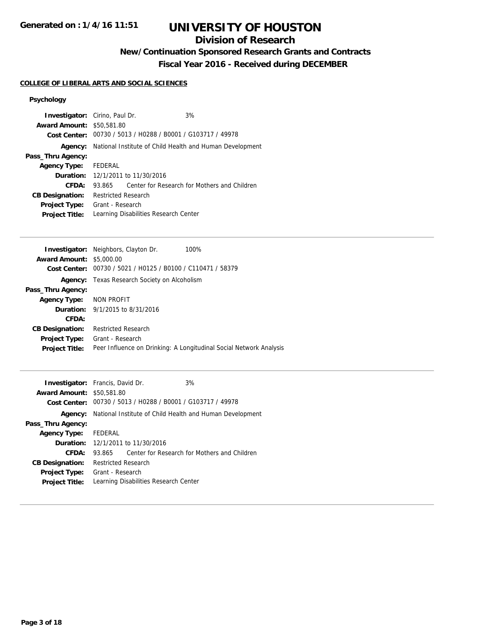## **Division of Research**

# **New/Continuation Sponsored Research Grants and Contracts**

**Fiscal Year 2016 - Received during DECEMBER**

## **COLLEGE OF LIBERAL ARTS AND SOCIAL SCIENCES**

## **Psychology**

| Investigator:<br><b>Award Amount:</b><br>Cost Center:                                                                            | Cirino, Paul Dr.<br>3%<br>\$50,581.80<br>00730 / 5013 / H0288 / B0001 / G103717 / 49978                                                                                                                                                                              |  |  |
|----------------------------------------------------------------------------------------------------------------------------------|----------------------------------------------------------------------------------------------------------------------------------------------------------------------------------------------------------------------------------------------------------------------|--|--|
| Agency:<br>Pass_Thru Agency:<br><b>Agency Type:</b><br>CFDA:<br><b>CB Designation:</b><br>Project Type:<br><b>Project Title:</b> | National Institute of Child Health and Human Development<br>FEDERAL<br><b>Duration:</b> 12/1/2011 to 11/30/2016<br>Center for Research for Mothers and Children<br>93.865<br><b>Restricted Research</b><br>Grant - Research<br>Learning Disabilities Research Center |  |  |
| Investigator:<br><b>Award Amount:</b><br>Cost Center:<br>Agency:<br>Pass_Thru Agency:<br><b>Agency Type:</b>                     | Neighbors, Clayton Dr.<br>100%<br>\$5,000.00<br>00730 / 5021 / H0125 / B0100 / C110471 / 58379<br>Texas Research Society on Alcoholism<br>NON PROFIT                                                                                                                 |  |  |

| <b>AGERICY TYPE:</b> NUN PRUFIT |                                                                    |
|---------------------------------|--------------------------------------------------------------------|
|                                 | <b>Duration:</b> $9/1/2015$ to $8/31/2016$                         |
| CFDA:                           |                                                                    |
|                                 | <b>CB Designation:</b> Restricted Research                         |
|                                 | <b>Project Type:</b> Grant - Research                              |
| <b>Project Title:</b>           | Peer Influence on Drinking: A Longitudinal Social Network Analysis |

| <b>Investigator:</b> Francis, David Dr.<br><b>Award Amount: \$50,581.80</b> |                                                          | Cost Center: 00730 / 5013 / H0288 / B0001 / G103717 / 49978 | 3%                                           |
|-----------------------------------------------------------------------------|----------------------------------------------------------|-------------------------------------------------------------|----------------------------------------------|
| Agency:                                                                     | National Institute of Child Health and Human Development |                                                             |                                              |
| Pass_Thru Agency:                                                           |                                                          |                                                             |                                              |
| <b>Agency Type:</b>                                                         | FEDERAL                                                  |                                                             |                                              |
|                                                                             |                                                          | Duration: 12/1/2011 to 11/30/2016                           |                                              |
| CFDA:                                                                       | 93.865                                                   |                                                             | Center for Research for Mothers and Children |
| <b>CB Designation:</b>                                                      | <b>Restricted Research</b>                               |                                                             |                                              |
| <b>Project Type:</b><br><b>Project Title:</b>                               | Grant - Research                                         | Learning Disabilities Research Center                       |                                              |
|                                                                             |                                                          |                                                             |                                              |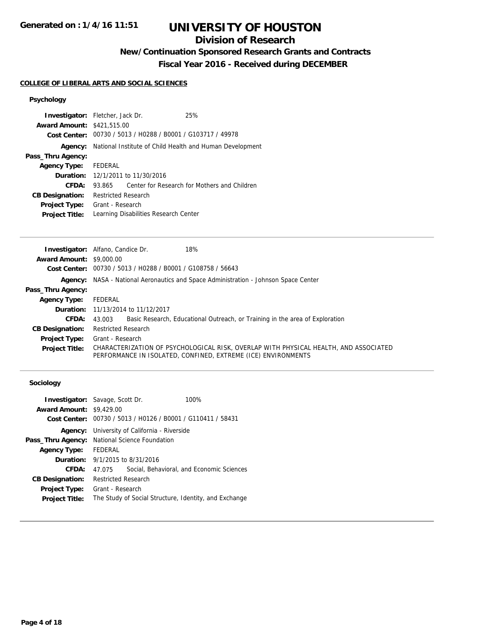## **Division of Research**

# **New/Continuation Sponsored Research Grants and Contracts**

**Fiscal Year 2016 - Received during DECEMBER**

## **COLLEGE OF LIBERAL ARTS AND SOCIAL SCIENCES**

## **Psychology**

| <b>Investigator:</b> Fletcher, Jack Dr. |                            |                                                             | 25%                                                      |
|-----------------------------------------|----------------------------|-------------------------------------------------------------|----------------------------------------------------------|
| <b>Award Amount: \$421,515.00</b>       |                            |                                                             |                                                          |
|                                         |                            | Cost Center: 00730 / 5013 / H0288 / B0001 / G103717 / 49978 |                                                          |
| Agency:                                 |                            |                                                             | National Institute of Child Health and Human Development |
| Pass_Thru Agency:                       |                            |                                                             |                                                          |
| <b>Agency Type:</b>                     | <b>FEDERAL</b>             |                                                             |                                                          |
|                                         |                            | <b>Duration:</b> 12/1/2011 to 11/30/2016                    |                                                          |
| <b>CFDA:</b>                            | 93.865                     |                                                             | Center for Research for Mothers and Children             |
| <b>CB Designation:</b>                  | <b>Restricted Research</b> |                                                             |                                                          |
| <b>Project Type:</b>                    | Grant - Research           |                                                             |                                                          |
| <b>Project Title:</b>                   |                            | Learning Disabilities Research Center                       |                                                          |

|                                 | <b>Investigator:</b> Alfano, Candice Dr.<br>18%                                                                                                       |
|---------------------------------|-------------------------------------------------------------------------------------------------------------------------------------------------------|
| <b>Award Amount: \$9,000.00</b> |                                                                                                                                                       |
|                                 | Cost Center: 00730 / 5013 / H0288 / B0001 / G108758 / 56643                                                                                           |
|                                 | Agency: NASA - National Aeronautics and Space Administration - Johnson Space Center                                                                   |
| Pass_Thru Agency:               |                                                                                                                                                       |
| <b>Agency Type:</b>             | FEDERAL                                                                                                                                               |
|                                 | <b>Duration:</b> 11/13/2014 to 11/12/2017                                                                                                             |
| <b>CFDA:</b>                    | 43.003 Basic Research, Educational Outreach, or Training in the area of Exploration                                                                   |
| <b>CB Designation:</b>          | <b>Restricted Research</b>                                                                                                                            |
| <b>Project Type:</b>            | Grant - Research                                                                                                                                      |
| <b>Project Title:</b>           | CHARACTERIZATION OF PSYCHOLOGICAL RISK, OVERLAP WITH PHYSICAL HEALTH, AND ASSOCIATED<br>PERFORMANCE IN ISOLATED, CONFINED, EXTREME (ICE) ENVIRONMENTS |
|                                 |                                                                                                                                                       |
|                                 |                                                                                                                                                       |

## **Sociology**

|                                 | <b>Investigator:</b> Savage, Scott Dr.                | 100%                                                        |  |
|---------------------------------|-------------------------------------------------------|-------------------------------------------------------------|--|
| <b>Award Amount: \$9,429.00</b> |                                                       |                                                             |  |
|                                 |                                                       | Cost Center: 00730 / 5013 / H0126 / B0001 / G110411 / 58431 |  |
|                                 | <b>Agency:</b> University of California - Riverside   |                                                             |  |
|                                 | Pass_Thru Agency: National Science Foundation         |                                                             |  |
| <b>Agency Type:</b>             | FEDERAL                                               |                                                             |  |
|                                 | <b>Duration:</b> $9/1/2015$ to $8/31/2016$            |                                                             |  |
| CFDA:                           | 47.075                                                | Social, Behavioral, and Economic Sciences                   |  |
| <b>CB Designation:</b>          | <b>Restricted Research</b>                            |                                                             |  |
| Project Type:                   | Grant - Research                                      |                                                             |  |
| <b>Project Title:</b>           | The Study of Social Structure, Identity, and Exchange |                                                             |  |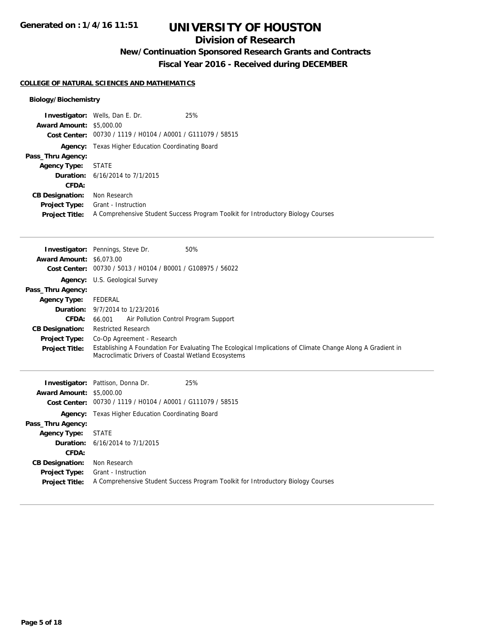## **Division of Research**

# **New/Continuation Sponsored Research Grants and Contracts**

**Fiscal Year 2016 - Received during DECEMBER**

#### **COLLEGE OF NATURAL SCIENCES AND MATHEMATICS**

## **Biology/Biochemistry**

| <b>Award Amount: \$5,000.00</b> | <b>Investigator:</b> Wells, Dan E. Dr.                      | 25%                                                                              |
|---------------------------------|-------------------------------------------------------------|----------------------------------------------------------------------------------|
|                                 | Cost Center: 00730 / 1119 / H0104 / A0001 / G111079 / 58515 |                                                                                  |
|                                 | <b>Agency:</b> Texas Higher Education Coordinating Board    |                                                                                  |
| Pass_Thru Agency:               |                                                             |                                                                                  |
| <b>Agency Type:</b>             | STATE                                                       |                                                                                  |
|                                 | <b>Duration:</b> 6/16/2014 to 7/1/2015                      |                                                                                  |
| CFDA:                           |                                                             |                                                                                  |
| <b>CB Designation:</b>          | Non Research                                                |                                                                                  |
| <b>Project Type:</b>            | Grant - Instruction                                         |                                                                                  |
| <b>Project Title:</b>           |                                                             | A Comprehensive Student Success Program Toolkit for Introductory Biology Courses |

| <b>Award Amount: \$6,073.00</b>                | <b>Investigator:</b> Pennings, Steve Dr.                                      | 50%                                                                                                        |
|------------------------------------------------|-------------------------------------------------------------------------------|------------------------------------------------------------------------------------------------------------|
| Cost Center:                                   | 00730 / 5013 / H0104 / B0001 / G108975 / 56022                                |                                                                                                            |
|                                                | Agency: U.S. Geological Survey                                                |                                                                                                            |
| Pass_Thru Agency:                              |                                                                               |                                                                                                            |
| <b>Agency Type:</b>                            | <b>FEDERAL</b><br><b>Duration:</b> 9/7/2014 to 1/23/2016                      |                                                                                                            |
| <b>CFDA:</b>                                   |                                                                               |                                                                                                            |
|                                                | 66.001<br>Air Pollution Control Program Support<br><b>Restricted Research</b> |                                                                                                            |
| <b>CB Designation:</b><br><b>Project Type:</b> |                                                                               |                                                                                                            |
| <b>Project Title:</b>                          | Co-Op Agreement - Research                                                    | Establishing A Foundation For Evaluating The Ecological Implications of Climate Change Along A Gradient in |
|                                                | Macroclimatic Drivers of Coastal Wetland Ecosystems                           |                                                                                                            |
|                                                |                                                                               |                                                                                                            |
|                                                | Investigator: Pattison, Donna Dr.                                             | 25%                                                                                                        |
| <b>Award Amount: \$5,000.00</b>                |                                                                               |                                                                                                            |
|                                                | Cost Center: 00730 / 1119 / H0104 / A0001 / G111079 / 58515                   |                                                                                                            |
|                                                | Agency: Texas Higher Education Coordinating Board                             |                                                                                                            |
| Pass_Thru Agency:                              |                                                                               |                                                                                                            |
| <b>Agency Type:</b>                            | <b>STATE</b>                                                                  |                                                                                                            |
|                                                | <b>Duration:</b> 6/16/2014 to 7/1/2015                                        |                                                                                                            |
| CFDA:                                          |                                                                               |                                                                                                            |

**Project Type:** Grant - Instruction **Project Title:** A Comprehensive Student Success Program Toolkit for Introductory Biology Courses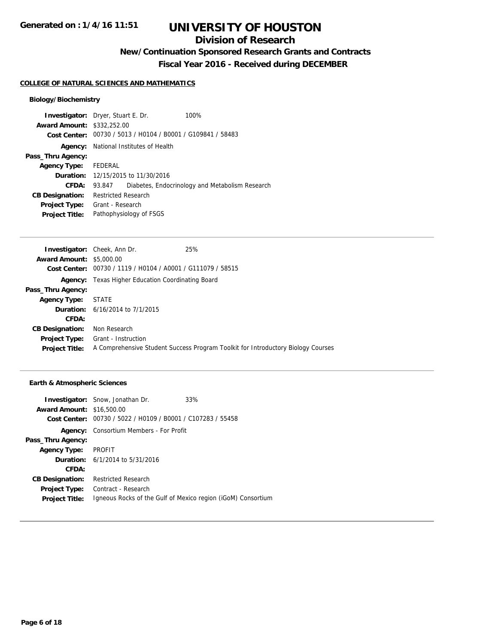## **Division of Research**

**New/Continuation Sponsored Research Grants and Contracts**

**Fiscal Year 2016 - Received during DECEMBER**

#### **COLLEGE OF NATURAL SCIENCES AND MATHEMATICS**

## **Biology/Biochemistry**

| <b>Investigator:</b> Dryer, Stuart E. Dr. |                            |                                                             | 100%                                            |
|-------------------------------------------|----------------------------|-------------------------------------------------------------|-------------------------------------------------|
| <b>Award Amount: \$332,252.00</b>         |                            |                                                             |                                                 |
|                                           |                            | Cost Center: 00730 / 5013 / H0104 / B0001 / G109841 / 58483 |                                                 |
|                                           |                            | <b>Agency:</b> National Institutes of Health                |                                                 |
| Pass_Thru Agency:                         |                            |                                                             |                                                 |
| <b>Agency Type:</b>                       | FEDERAL                    |                                                             |                                                 |
|                                           |                            | <b>Duration:</b> 12/15/2015 to 11/30/2016                   |                                                 |
| CFDA:                                     | 93.847                     |                                                             | Diabetes, Endocrinology and Metabolism Research |
| <b>CB Designation:</b>                    | <b>Restricted Research</b> |                                                             |                                                 |
| Project Type:                             | Grant - Research           |                                                             |                                                 |
| <b>Project Title:</b>                     |                            | Pathophysiology of FSGS                                     |                                                 |

|                                 | <b>Investigator:</b> Cheek, Ann Dr.                         | 25%                                                                              |
|---------------------------------|-------------------------------------------------------------|----------------------------------------------------------------------------------|
| <b>Award Amount: \$5,000.00</b> |                                                             |                                                                                  |
|                                 | Cost Center: 00730 / 1119 / H0104 / A0001 / G111079 / 58515 |                                                                                  |
|                                 | <b>Agency:</b> Texas Higher Education Coordinating Board    |                                                                                  |
| Pass_Thru Agency:               |                                                             |                                                                                  |
| <b>Agency Type:</b>             | STATE                                                       |                                                                                  |
|                                 | <b>Duration:</b> 6/16/2014 to 7/1/2015                      |                                                                                  |
| <b>CFDA:</b>                    |                                                             |                                                                                  |
| <b>CB Designation:</b>          | Non Research                                                |                                                                                  |
| <b>Project Type:</b>            | Grant - Instruction                                         |                                                                                  |
| <b>Project Title:</b>           |                                                             | A Comprehensive Student Success Program Toolkit for Introductory Biology Courses |

## **Earth & Atmospheric Sciences**

|                                  | <b>Investigator:</b> Snow, Jonathan Dr.                     | 33%                                                          |
|----------------------------------|-------------------------------------------------------------|--------------------------------------------------------------|
| <b>Award Amount: \$16,500.00</b> |                                                             |                                                              |
|                                  | Cost Center: 00730 / 5022 / H0109 / B0001 / C107283 / 55458 |                                                              |
|                                  | <b>Agency:</b> Consortium Members - For Profit              |                                                              |
| Pass_Thru Agency:                |                                                             |                                                              |
| <b>Agency Type:</b>              | PROFIT                                                      |                                                              |
|                                  | <b>Duration:</b> 6/1/2014 to 5/31/2016                      |                                                              |
| CFDA:                            |                                                             |                                                              |
| <b>CB Designation:</b>           | <b>Restricted Research</b>                                  |                                                              |
| <b>Project Type:</b>             | Contract - Research                                         |                                                              |
| <b>Project Title:</b>            |                                                             | Igneous Rocks of the Gulf of Mexico region (iGoM) Consortium |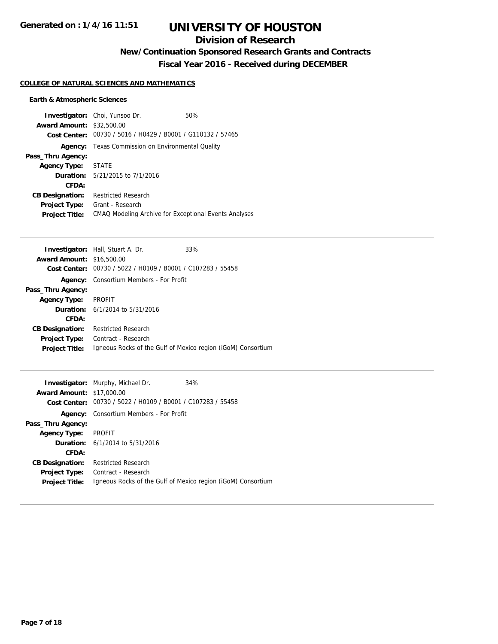## **Division of Research**

# **New/Continuation Sponsored Research Grants and Contracts**

**Fiscal Year 2016 - Received during DECEMBER**

## **COLLEGE OF NATURAL SCIENCES AND MATHEMATICS**

## **Earth & Atmospheric Sciences**

| <b>Award Amount: \$32,500.00</b> | <b>Investigator:</b> Choi, Yunsoo Dr.                       | 50% |
|----------------------------------|-------------------------------------------------------------|-----|
|                                  | Cost Center: 00730 / 5016 / H0429 / B0001 / G110132 / 57465 |     |
| Agency:                          | Texas Commission on Environmental Quality                   |     |
| Pass_Thru Agency:                |                                                             |     |
| Agency Type: STATE               |                                                             |     |
|                                  | <b>Duration:</b> $5/21/2015$ to $7/1/2016$                  |     |
| CFDA:                            |                                                             |     |
| <b>CB Designation:</b>           | <b>Restricted Research</b>                                  |     |
| <b>Project Type:</b>             | Grant - Research                                            |     |
| <b>Project Title:</b>            | CMAQ Modeling Archive for Exceptional Events Analyses       |     |

|                                  | <b>Investigator:</b> Hall, Stuart A. Dr.                     | 33% |
|----------------------------------|--------------------------------------------------------------|-----|
| <b>Award Amount: \$16,500.00</b> |                                                              |     |
| Cost Center:                     | 00730 / 5022 / H0109 / B0001 / C107283 / 55458               |     |
|                                  | <b>Agency:</b> Consortium Members - For Profit               |     |
| Pass_Thru Agency:                |                                                              |     |
| <b>Agency Type:</b>              | <b>PROFIT</b>                                                |     |
|                                  | <b>Duration:</b> $6/1/2014$ to $5/31/2016$                   |     |
| CFDA:                            |                                                              |     |
| <b>CB Designation:</b>           | <b>Restricted Research</b>                                   |     |
| <b>Project Type:</b>             | Contract - Research                                          |     |
| <b>Project Title:</b>            | Igneous Rocks of the Gulf of Mexico region (iGoM) Consortium |     |
|                                  |                                                              |     |

|                                  | <b>Investigator:</b> Murphy, Michael Dr.                     | 34% |
|----------------------------------|--------------------------------------------------------------|-----|
| <b>Award Amount: \$17,000.00</b> |                                                              |     |
| Cost Center:                     | 00730 / 5022 / H0109 / B0001 / C107283 / 55458               |     |
|                                  | <b>Agency:</b> Consortium Members - For Profit               |     |
| Pass_Thru Agency:                |                                                              |     |
| Agency Type:                     | PROFIT                                                       |     |
|                                  | <b>Duration:</b> 6/1/2014 to 5/31/2016                       |     |
| CFDA:                            |                                                              |     |
| <b>CB Designation:</b>           | <b>Restricted Research</b>                                   |     |
| <b>Project Type:</b>             | Contract - Research                                          |     |
| <b>Project Title:</b>            | Igneous Rocks of the Gulf of Mexico region (iGoM) Consortium |     |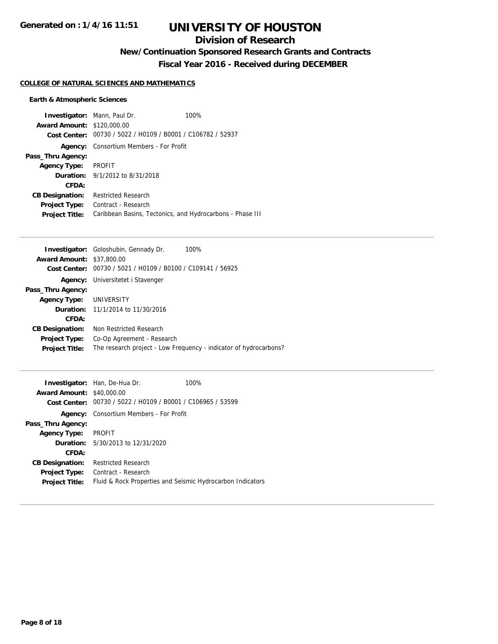## **Division of Research**

**New/Continuation Sponsored Research Grants and Contracts**

**Fiscal Year 2016 - Received during DECEMBER**

## **COLLEGE OF NATURAL SCIENCES AND MATHEMATICS**

## **Earth & Atmospheric Sciences**

| <b>Award Amount: \$120,000.00</b> | <b>Investigator:</b> Mann, Paul Dr.                         | 100% |
|-----------------------------------|-------------------------------------------------------------|------|
|                                   | Cost Center: 00730 / 5022 / H0109 / B0001 / C106782 / 52937 |      |
| Agency:                           | Consortium Members - For Profit                             |      |
| Pass_Thru Agency:                 |                                                             |      |
| <b>Agency Type:</b>               | PROFIT                                                      |      |
|                                   | <b>Duration:</b> $9/1/2012$ to $8/31/2018$                  |      |
| CFDA:                             |                                                             |      |
| <b>CB Designation:</b>            | <b>Restricted Research</b>                                  |      |
| <b>Project Type:</b>              | Contract - Research                                         |      |
| <b>Project Title:</b>             | Caribbean Basins, Tectonics, and Hydrocarbons - Phase III   |      |

|                                  | 100%<br><b>Investigator:</b> Goloshubin, Gennady Dr.              |
|----------------------------------|-------------------------------------------------------------------|
| <b>Award Amount: \$37,800.00</b> |                                                                   |
| Cost Center:                     | 00730 / 5021 / H0109 / B0100 / C109141 / 56925                    |
|                                  | <b>Agency:</b> Universitetet i Stavenger                          |
| Pass_Thru Agency:                |                                                                   |
| Agency Type: UNIVERSITY          |                                                                   |
|                                  | <b>Duration:</b> 11/1/2014 to 11/30/2016                          |
| CFDA:                            |                                                                   |
| <b>CB Designation:</b>           | Non Restricted Research                                           |
| <b>Project Type:</b>             | Co-Op Agreement - Research                                        |
| <b>Project Title:</b>            | The research project - Low Frequency - indicator of hydrocarbons? |

| <b>Award Amount: \$40,000.00</b> | <b>Investigator:</b> Han, De-Hua Dr.<br>Cost Center: 00730 / 5022 / H0109 / B0001 / C106965 / 53599 | 100% |
|----------------------------------|-----------------------------------------------------------------------------------------------------|------|
|                                  | <b>Agency:</b> Consortium Members - For Profit                                                      |      |
| Pass_Thru Agency:                |                                                                                                     |      |
| Agency Type: PROFIT              |                                                                                                     |      |
|                                  | <b>Duration:</b> $5/30/2013$ to $12/31/2020$                                                        |      |
| CFDA:                            |                                                                                                     |      |
| <b>CB Designation:</b>           | <b>Restricted Research</b>                                                                          |      |
| <b>Project Type:</b>             | Contract - Research                                                                                 |      |
| <b>Project Title:</b>            | Fluid & Rock Properties and Seismic Hydrocarbon Indicators                                          |      |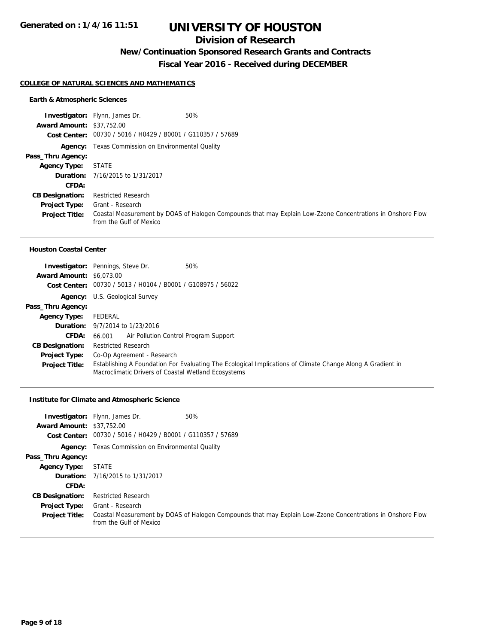## **Division of Research**

# **New/Continuation Sponsored Research Grants and Contracts**

**Fiscal Year 2016 - Received during DECEMBER**

#### **COLLEGE OF NATURAL SCIENCES AND MATHEMATICS**

## **Earth & Atmospheric Sciences**

| 50%<br><b>Investigator:</b> Flynn, James Dr.                                                                                          |
|---------------------------------------------------------------------------------------------------------------------------------------|
| <b>Award Amount: \$37,752.00</b>                                                                                                      |
| Cost Center: 00730 / 5016 / H0429 / B0001 / G110357 / 57689                                                                           |
| <b>Agency:</b> Texas Commission on Environmental Quality                                                                              |
|                                                                                                                                       |
| <b>STATE</b>                                                                                                                          |
| <b>Duration:</b> 7/16/2015 to 1/31/2017                                                                                               |
|                                                                                                                                       |
| <b>Restricted Research</b>                                                                                                            |
| Grant - Research                                                                                                                      |
| Coastal Measurement by DOAS of Halogen Compounds that may Explain Low-Zzone Concentrations in Onshore Flow<br>from the Gulf of Mexico |
| Pass_Thru Agency:                                                                                                                     |

#### **Houston Coastal Center**

|                                 | 50%<br><b>Investigator:</b> Pennings, Steve Dr.                                                                                                                   |
|---------------------------------|-------------------------------------------------------------------------------------------------------------------------------------------------------------------|
| <b>Award Amount: \$6,073.00</b> |                                                                                                                                                                   |
|                                 | Cost Center: 00730 / 5013 / H0104 / B0001 / G108975 / 56022                                                                                                       |
|                                 | <b>Agency:</b> U.S. Geological Survey                                                                                                                             |
| Pass_Thru Agency:               |                                                                                                                                                                   |
| <b>Agency Type:</b>             | FEDERAL                                                                                                                                                           |
|                                 | <b>Duration:</b> 9/7/2014 to 1/23/2016                                                                                                                            |
| <b>CFDA:</b>                    | 66.001 Air Pollution Control Program Support                                                                                                                      |
| <b>CB Designation:</b>          | <b>Restricted Research</b>                                                                                                                                        |
| <b>Project Type:</b>            | Co-Op Agreement - Research                                                                                                                                        |
| <b>Project Title:</b>           | Establishing A Foundation For Evaluating The Ecological Implications of Climate Change Along A Gradient in<br>Macroclimatic Drivers of Coastal Wetland Ecosystems |

#### **Institute for Climate and Atmospheric Science**

| <b>Award Amount: \$37,752.00</b> | 50%<br><b>Investigator:</b> Flynn, James Dr.<br>Cost Center: 00730 / 5016 / H0429 / B0001 / G110357 / 57689                           |  |
|----------------------------------|---------------------------------------------------------------------------------------------------------------------------------------|--|
|                                  | <b>Agency:</b> Texas Commission on Environmental Quality                                                                              |  |
| Pass_Thru Agency:                |                                                                                                                                       |  |
| <b>Agency Type:</b>              | <b>STATE</b>                                                                                                                          |  |
|                                  | <b>Duration:</b> 7/16/2015 to 1/31/2017                                                                                               |  |
| CFDA:                            |                                                                                                                                       |  |
| <b>CB Designation:</b>           | <b>Restricted Research</b>                                                                                                            |  |
| <b>Project Type:</b>             | Grant - Research                                                                                                                      |  |
| <b>Project Title:</b>            | Coastal Measurement by DOAS of Halogen Compounds that may Explain Low-Zzone Concentrations in Onshore Flow<br>from the Gulf of Mexico |  |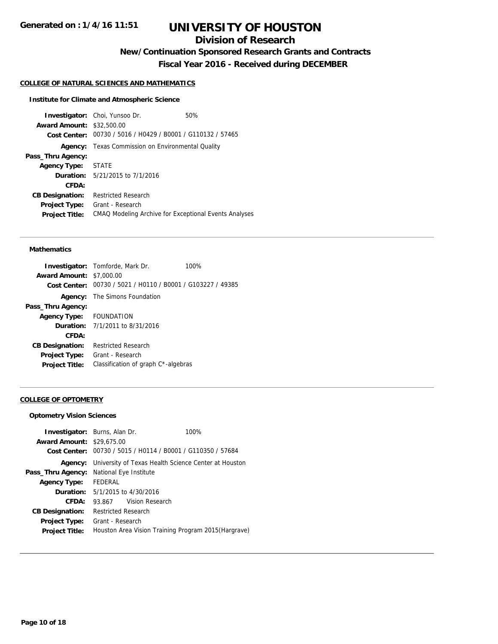# **Division of Research**

**New/Continuation Sponsored Research Grants and Contracts**

**Fiscal Year 2016 - Received during DECEMBER**

## **COLLEGE OF NATURAL SCIENCES AND MATHEMATICS**

#### **Institute for Climate and Atmospheric Science**

**Investigator:** Choi, Yunsoo Dr. 60% **Award Amount:** \$32,500.00 **Cost Center:** 00730 / 5016 / H0429 / B0001 / G110132 / 57465 **Agency:** Texas Commission on Environmental Quality **Pass\_Thru Agency: Agency Type:** STATE **Duration:** 5/21/2015 to 7/1/2016 **CFDA: CB Designation:** Restricted Research **Project Type:** Grant - Research **Project Title:** CMAQ Modeling Archive for Exceptional Events Analyses

#### **Mathematics**

|                                 | <b>Investigator:</b> Tomforde, Mark Dr.<br>100%             |  |  |
|---------------------------------|-------------------------------------------------------------|--|--|
| <b>Award Amount: \$7,000.00</b> |                                                             |  |  |
|                                 | Cost Center: 00730 / 5021 / H0110 / B0001 / G103227 / 49385 |  |  |
|                                 | <b>Agency:</b> The Simons Foundation                        |  |  |
| Pass_Thru Agency:               |                                                             |  |  |
| Agency Type: FOUNDATION         |                                                             |  |  |
|                                 | <b>Duration:</b> $7/1/2011$ to $8/31/2016$                  |  |  |
| CFDA:                           |                                                             |  |  |
| <b>CB Designation:</b>          | <b>Restricted Research</b>                                  |  |  |
| <b>Project Type:</b>            | Grant - Research                                            |  |  |
| <b>Project Title:</b>           | Classification of graph C*-algebras                         |  |  |
|                                 |                                                             |  |  |

#### **COLLEGE OF OPTOMETRY**

#### **Optometry Vision Sciences**

|                                  | <b>Investigator:</b> Burns, Alan Dr.       | 100%                                                                |
|----------------------------------|--------------------------------------------|---------------------------------------------------------------------|
| <b>Award Amount: \$29,675,00</b> |                                            |                                                                     |
|                                  |                                            | Cost Center: 00730 / 5015 / H0114 / B0001 / G110350 / 57684         |
|                                  |                                            | <b>Agency:</b> University of Texas Health Science Center at Houston |
| Pass_Thru Agency:                | National Eye Institute                     |                                                                     |
| <b>Agency Type:</b>              | FEDERAL                                    |                                                                     |
|                                  | <b>Duration:</b> $5/1/2015$ to $4/30/2016$ |                                                                     |
| CFDA:                            | Vision Research<br>93.867                  |                                                                     |
| <b>CB Designation:</b>           | <b>Restricted Research</b>                 |                                                                     |
| Project Type:                    | Grant - Research                           |                                                                     |
| <b>Project Title:</b>            |                                            | Houston Area Vision Training Program 2015 (Hargrave)                |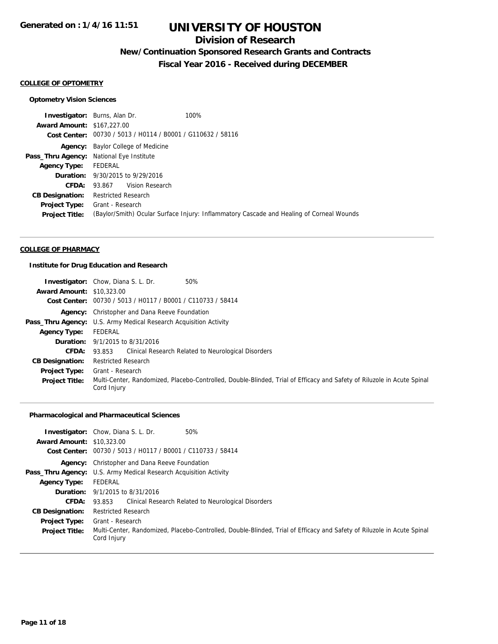## **Division of Research**

# **New/Continuation Sponsored Research Grants and Contracts**

**Fiscal Year 2016 - Received during DECEMBER**

#### **COLLEGE OF OPTOMETRY**

## **Optometry Vision Sciences**

|                                   | <b>Investigator:</b> Burns, Alan Dr.                        | 100%                                                                                     |  |
|-----------------------------------|-------------------------------------------------------------|------------------------------------------------------------------------------------------|--|
| <b>Award Amount: \$167,227.00</b> |                                                             |                                                                                          |  |
|                                   | Cost Center: 00730 / 5013 / H0114 / B0001 / G110632 / 58116 |                                                                                          |  |
|                                   | <b>Agency:</b> Baylor College of Medicine                   |                                                                                          |  |
|                                   | Pass_Thru Agency: National Eye Institute                    |                                                                                          |  |
| Agency Type: FEDERAL              |                                                             |                                                                                          |  |
|                                   | <b>Duration:</b> 9/30/2015 to 9/29/2016                     |                                                                                          |  |
| <b>CFDA:</b>                      | 93.867 Vision Research                                      |                                                                                          |  |
| <b>CB Designation:</b>            | Restricted Research                                         |                                                                                          |  |
|                                   | <b>Project Type:</b> Grant - Research                       |                                                                                          |  |
| <b>Project Title:</b>             |                                                             | (Baylor/Smith) Ocular Surface Injury: Inflammatory Cascade and Healing of Corneal Wounds |  |
|                                   |                                                             |                                                                                          |  |

#### **COLLEGE OF PHARMACY**

### **Institute for Drug Education and Research**

|                                  | 50%<br><b>Investigator:</b> Chow, Diana S. L. Dr.                                                                                     |  |  |
|----------------------------------|---------------------------------------------------------------------------------------------------------------------------------------|--|--|
| <b>Award Amount: \$10,323,00</b> |                                                                                                                                       |  |  |
|                                  | Cost Center: 00730 / 5013 / H0117 / B0001 / C110733 / 58414                                                                           |  |  |
|                                  | <b>Agency:</b> Christopher and Dana Reeve Foundation                                                                                  |  |  |
|                                  | <b>Pass_Thru Agency:</b> U.S. Army Medical Research Acquisition Activity                                                              |  |  |
| <b>Agency Type:</b>              | FEDERAL                                                                                                                               |  |  |
|                                  | <b>Duration:</b> 9/1/2015 to 8/31/2016                                                                                                |  |  |
| <b>CFDA:</b>                     | 93.853 Clinical Research Related to Neurological Disorders                                                                            |  |  |
| <b>CB Designation:</b>           | Restricted Research                                                                                                                   |  |  |
| <b>Project Type:</b>             | Grant - Research                                                                                                                      |  |  |
| <b>Project Title:</b>            | Multi-Center, Randomized, Placebo-Controlled, Double-Blinded, Trial of Efficacy and Safety of Riluzole in Acute Spinal<br>Cord Injury |  |  |

## **Pharmacological and Pharmaceutical Sciences**

|                                  | 50%<br><b>Investigator:</b> Chow, Diana S. L. Dr.                                                                                     |  |  |
|----------------------------------|---------------------------------------------------------------------------------------------------------------------------------------|--|--|
| <b>Award Amount: \$10,323,00</b> |                                                                                                                                       |  |  |
|                                  | Cost Center: 00730 / 5013 / H0117 / B0001 / C110733 / 58414                                                                           |  |  |
|                                  | Agency: Christopher and Dana Reeve Foundation                                                                                         |  |  |
|                                  | Pass_Thru Agency: U.S. Army Medical Research Acquisition Activity                                                                     |  |  |
| <b>Agency Type:</b>              | FEDERAL                                                                                                                               |  |  |
|                                  | <b>Duration:</b> 9/1/2015 to 8/31/2016                                                                                                |  |  |
| CFDA:                            | 93.853 Clinical Research Related to Neurological Disorders                                                                            |  |  |
| <b>CB Designation:</b>           | <b>Restricted Research</b>                                                                                                            |  |  |
| <b>Project Type:</b>             | Grant - Research                                                                                                                      |  |  |
| <b>Project Title:</b>            | Multi-Center, Randomized, Placebo-Controlled, Double-Blinded, Trial of Efficacy and Safety of Riluzole in Acute Spinal<br>Cord Injury |  |  |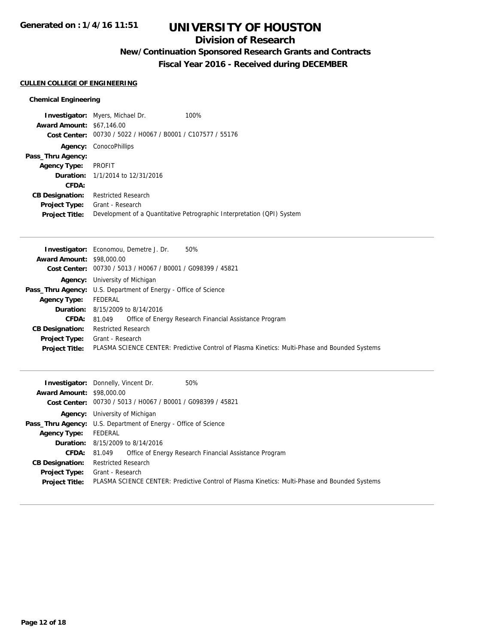## **Division of Research**

# **New/Continuation Sponsored Research Grants and Contracts**

**Fiscal Year 2016 - Received during DECEMBER**

## **CULLEN COLLEGE OF ENGINEERING**

## **Chemical Engineering**

|                                  | <b>Investigator:</b> Myers, Michael Dr.                     | 100%                                                                   |
|----------------------------------|-------------------------------------------------------------|------------------------------------------------------------------------|
| <b>Award Amount: \$67,146.00</b> |                                                             |                                                                        |
|                                  | Cost Center: 00730 / 5022 / H0067 / B0001 / C107577 / 55176 |                                                                        |
|                                  | <b>Agency: ConocoPhillips</b>                               |                                                                        |
| Pass_Thru Agency:                |                                                             |                                                                        |
| <b>Agency Type:</b>              | PROFIT                                                      |                                                                        |
|                                  | <b>Duration:</b> 1/1/2014 to 12/31/2016                     |                                                                        |
| CFDA:                            |                                                             |                                                                        |
| <b>CB Designation:</b>           | <b>Restricted Research</b>                                  |                                                                        |
| <b>Project Type:</b>             | Grant - Research                                            |                                                                        |
| <b>Project Title:</b>            |                                                             | Development of a Quantitative Petrographic Interpretation (QPI) System |

| <b>Investigator:</b> Economou, Demetre J. Dr.<br>50%                                          |  |
|-----------------------------------------------------------------------------------------------|--|
| <b>Award Amount: \$98,000.00</b>                                                              |  |
| Cost Center: 00730 / 5013 / H0067 / B0001 / G098399 / 45821                                   |  |
| <b>Agency:</b> University of Michigan                                                         |  |
| <b>Pass_Thru Agency:</b> U.S. Department of Energy - Office of Science                        |  |
| FEDERAL                                                                                       |  |
| <b>Duration:</b> 8/15/2009 to 8/14/2016                                                       |  |
| Office of Energy Research Financial Assistance Program<br>81.049                              |  |
| <b>Restricted Research</b>                                                                    |  |
| Grant - Research                                                                              |  |
| PLASMA SCIENCE CENTER: Predictive Control of Plasma Kinetics: Multi-Phase and Bounded Systems |  |
|                                                                                               |  |

| <b>Award Amount: \$98,000.00</b> | <b>Investigator:</b> Donnelly, Vincent Dr.<br>50%                                                            |  |  |
|----------------------------------|--------------------------------------------------------------------------------------------------------------|--|--|
|                                  | Cost Center: 00730 / 5013 / H0067 / B0001 / G098399 / 45821                                                  |  |  |
|                                  | <b>Agency:</b> University of Michigan                                                                        |  |  |
|                                  | <b>Pass_Thru Agency:</b> U.S. Department of Energy - Office of Science                                       |  |  |
| <b>Agency Type:</b>              | FEDERAL                                                                                                      |  |  |
|                                  | <b>Duration:</b> 8/15/2009 to 8/14/2016                                                                      |  |  |
| <b>CFDA: 81.049</b>              | Office of Energy Research Financial Assistance Program                                                       |  |  |
| <b>CB Designation:</b>           | <b>Restricted Research</b>                                                                                   |  |  |
| <b>Project Type:</b>             | Grant - Research                                                                                             |  |  |
|                                  | Project Title: PLASMA SCIENCE CENTER: Predictive Control of Plasma Kinetics: Multi-Phase and Bounded Systems |  |  |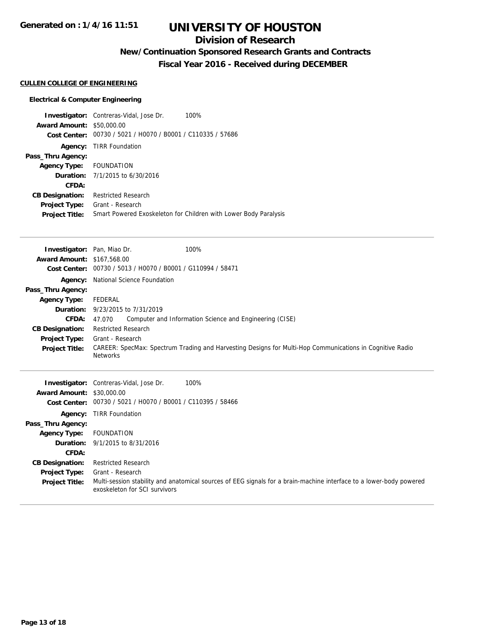## **Division of Research**

**New/Continuation Sponsored Research Grants and Contracts**

**Fiscal Year 2016 - Received during DECEMBER**

## **CULLEN COLLEGE OF ENGINEERING**

## **Electrical & Computer Engineering**

|                                  | <b>Investigator:</b> Contreras-Vidal, Jose Dr.<br>100%           |
|----------------------------------|------------------------------------------------------------------|
| <b>Award Amount: \$50,000.00</b> |                                                                  |
| Cost Center:                     | 00730 / 5021 / H0070 / B0001 / C110335 / 57686                   |
|                                  | <b>Agency: TIRR Foundation</b>                                   |
| Pass_Thru Agency:                |                                                                  |
| Agency Type: FOUNDATION          |                                                                  |
|                                  | <b>Duration:</b> 7/1/2015 to 6/30/2016                           |
| CFDA:                            |                                                                  |
| <b>CB Designation:</b>           | <b>Restricted Research</b>                                       |
| <b>Project Type:</b>             | Grant - Research                                                 |
| <b>Project Title:</b>            | Smart Powered Exoskeleton for Children with Lower Body Paralysis |

| Investigator: Pan, Miao Dr.<br><b>Award Amount:</b> | \$167,568.00                                   | 100%                                                                                                                |  |
|-----------------------------------------------------|------------------------------------------------|---------------------------------------------------------------------------------------------------------------------|--|
| <b>Cost Center:</b>                                 | 00730 / 5013 / H0070 / B0001 / G110994 / 58471 |                                                                                                                     |  |
| Agency:                                             | National Science Foundation                    |                                                                                                                     |  |
| Pass_Thru Agency:                                   |                                                |                                                                                                                     |  |
| <b>Agency Type:</b>                                 | FEDERAL                                        |                                                                                                                     |  |
| Duration:                                           | 9/23/2015 to 7/31/2019                         |                                                                                                                     |  |
| CFDA:                                               | 47.070                                         | Computer and Information Science and Engineering (CISE)                                                             |  |
| <b>CB Designation:</b>                              | <b>Restricted Research</b>                     |                                                                                                                     |  |
| <b>Project Type:</b>                                | Grant - Research                               |                                                                                                                     |  |
| <b>Project Title:</b>                               | <b>Networks</b>                                | CAREER: SpecMax: Spectrum Trading and Harvesting Designs for Multi-Hop Communications in Cognitive Radio            |  |
| Investigator:                                       | Contreras-Vidal, Jose Dr.                      | 100%                                                                                                                |  |
| <b>Award Amount:</b>                                | \$30,000.00                                    |                                                                                                                     |  |
| <b>Cost Center:</b>                                 | 00730 / 5021 / H0070 / B0001 / C110395 / 58466 |                                                                                                                     |  |
| Agency:                                             | <b>TIRR Foundation</b>                         |                                                                                                                     |  |
| Pass_Thru Agency:                                   |                                                |                                                                                                                     |  |
| <b>Agency Type:</b>                                 | <b>FOUNDATION</b>                              |                                                                                                                     |  |
| Duration:                                           | 9/1/2015 to 8/31/2016                          |                                                                                                                     |  |
| CFDA:                                               |                                                |                                                                                                                     |  |
| <b>CB Designation:</b>                              | <b>Restricted Research</b>                     |                                                                                                                     |  |
| <b>Project Type:</b>                                | Grant - Research                               |                                                                                                                     |  |
| <b>Project Title:</b>                               | exoskeleton for SCI survivors                  | Multi-session stability and anatomical sources of EEG signals for a brain-machine interface to a lower-body powered |  |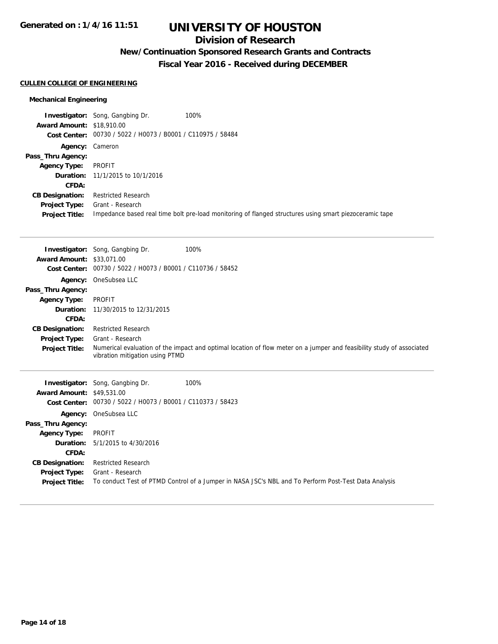## **Division of Research**

# **New/Continuation Sponsored Research Grants and Contracts**

**Fiscal Year 2016 - Received during DECEMBER**

## **CULLEN COLLEGE OF ENGINEERING**

## **Mechanical Engineering**

|                                  | <b>Investigator:</b> Song, Gangbing Dr.                     | 100%                                                                                                   |
|----------------------------------|-------------------------------------------------------------|--------------------------------------------------------------------------------------------------------|
| <b>Award Amount: \$18,910.00</b> |                                                             |                                                                                                        |
|                                  | Cost Center: 00730 / 5022 / H0073 / B0001 / C110975 / 58484 |                                                                                                        |
|                                  | <b>Agency: Cameron</b>                                      |                                                                                                        |
| Pass_Thru Agency:                |                                                             |                                                                                                        |
| <b>Agency Type:</b>              | PROFIT                                                      |                                                                                                        |
|                                  | <b>Duration:</b> 11/1/2015 to 10/1/2016                     |                                                                                                        |
| CFDA:                            |                                                             |                                                                                                        |
| <b>CB Designation:</b>           | <b>Restricted Research</b>                                  |                                                                                                        |
| Project Type:                    | Grant - Research                                            |                                                                                                        |
| <b>Project Title:</b>            |                                                             | Impedance based real time bolt pre-load monitoring of flanged structures using smart piezoceramic tape |

|                                                         | <b>Investigator:</b> Song, Gangbing Dr.                                                              | 100%                                                                                                                  |  |  |  |
|---------------------------------------------------------|------------------------------------------------------------------------------------------------------|-----------------------------------------------------------------------------------------------------------------------|--|--|--|
| <b>Award Amount: \$33.071.00</b><br><b>Cost Center:</b> | 00730 / 5022 / H0073 / B0001 / C110736 / 58452                                                       |                                                                                                                       |  |  |  |
|                                                         | Agency: OneSubsea LLC                                                                                |                                                                                                                       |  |  |  |
| Pass_Thru Agency:                                       |                                                                                                      |                                                                                                                       |  |  |  |
| <b>Agency Type:</b>                                     | <b>PROFIT</b>                                                                                        |                                                                                                                       |  |  |  |
| Duration:                                               | 11/30/2015 to 12/31/2015                                                                             |                                                                                                                       |  |  |  |
| <b>CFDA:</b>                                            |                                                                                                      |                                                                                                                       |  |  |  |
| <b>CB Designation:</b>                                  | <b>Restricted Research</b>                                                                           |                                                                                                                       |  |  |  |
| <b>Project Type:</b>                                    | Grant - Research                                                                                     |                                                                                                                       |  |  |  |
| <b>Project Title:</b>                                   |                                                                                                      | Numerical evaluation of the impact and optimal location of flow meter on a jumper and feasibility study of associated |  |  |  |
|                                                         | vibration mitigation using PTMD                                                                      |                                                                                                                       |  |  |  |
|                                                         | <b>Investigator:</b> Song, Gangbing Dr.                                                              | 100%                                                                                                                  |  |  |  |
| <b>Award Amount: \$49.531.00</b>                        |                                                                                                      |                                                                                                                       |  |  |  |
|                                                         | Cost Center: 00730 / 5022 / H0073 / B0001 / C110373 / 58423                                          |                                                                                                                       |  |  |  |
|                                                         | Agency: OneSubsea LLC                                                                                |                                                                                                                       |  |  |  |
| Pass_Thru Agency:                                       |                                                                                                      |                                                                                                                       |  |  |  |
| <b>Agency Type:</b>                                     | <b>PROFIT</b>                                                                                        |                                                                                                                       |  |  |  |
| Duration:                                               | 5/1/2015 to 4/30/2016                                                                                |                                                                                                                       |  |  |  |
| CFDA:                                                   |                                                                                                      |                                                                                                                       |  |  |  |
| <b>CB Designation:</b>                                  | <b>Restricted Research</b>                                                                           |                                                                                                                       |  |  |  |
| <b>Project Type:</b>                                    | Grant - Research                                                                                     |                                                                                                                       |  |  |  |
| <b>Project Title:</b>                                   | To conduct Test of PTMD Control of a Jumper in NASA JSC's NBL and To Perform Post-Test Data Analysis |                                                                                                                       |  |  |  |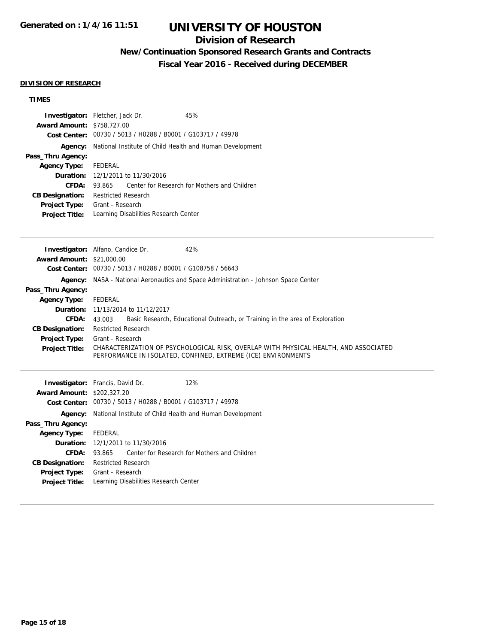## **Division of Research**

# **New/Continuation Sponsored Research Grants and Contracts**

**Fiscal Year 2016 - Received during DECEMBER**

### **DIVISION OF RESEARCH**

## **TIMES**

| Award Amount: \$758,727.00<br>Pass_Thru Agency:<br><b>Agency Type:</b><br><b>CFDA:</b><br><b>CB Designation:</b><br><b>Project Type:</b><br><b>Project Title:</b>                    | Investigator: Fletcher, Jack Dr.<br>45%<br>Cost Center: 00730 / 5013 / H0288 / B0001 / G103717 / 49978<br>Agency: National Institute of Child Health and Human Development<br>FEDERAL<br><b>Duration:</b> 12/1/2011 to 11/30/2016<br>93.865<br>Center for Research for Mothers and Children<br><b>Restricted Research</b><br>Grant - Research<br>Learning Disabilities Research Center                                                                                                                                                                   |
|--------------------------------------------------------------------------------------------------------------------------------------------------------------------------------------|----------------------------------------------------------------------------------------------------------------------------------------------------------------------------------------------------------------------------------------------------------------------------------------------------------------------------------------------------------------------------------------------------------------------------------------------------------------------------------------------------------------------------------------------------------|
| <b>Award Amount: \$21,000.00</b><br>Pass_Thru Agency:<br><b>Agency Type:</b><br>Duration:<br><b>CFDA:</b><br><b>CB Designation:</b><br><b>Project Type:</b><br><b>Project Title:</b> | Investigator: Alfano, Candice Dr.<br>42%<br>Cost Center: 00730 / 5013 / H0288 / B0001 / G108758 / 56643<br><b>Agency:</b> NASA - National Aeronautics and Space Administration - Johnson Space Center<br><b>FEDERAL</b><br>11/13/2014 to 11/12/2017<br>43.003<br>Basic Research, Educational Outreach, or Training in the area of Exploration<br><b>Restricted Research</b><br>Grant - Research<br>CHARACTERIZATION OF PSYCHOLOGICAL RISK, OVERLAP WITH PHYSICAL HEALTH, AND ASSOCIATED<br>PERFORMANCE IN ISOLATED, CONFINED, EXTREME (ICE) ENVIRONMENTS |
| <b>Award Amount: \$202,327.20</b><br>Pass_Thru Agency:<br><b>Agency Type:</b><br>Duration:<br><b>CFDA:</b><br><b>CB Designation:</b><br>Project Type:<br><b>Project Title:</b>       | Investigator: Francis, David Dr.<br>12%<br>Cost Center: 00730 / 5013 / H0288 / B0001 / G103717 / 49978<br>Agency: National Institute of Child Health and Human Development<br>FEDERAL<br>12/1/2011 to 11/30/2016<br>Center for Research for Mothers and Children<br>93.865<br><b>Restricted Research</b><br>Grant - Research<br>Learning Disabilities Research Center                                                                                                                                                                                    |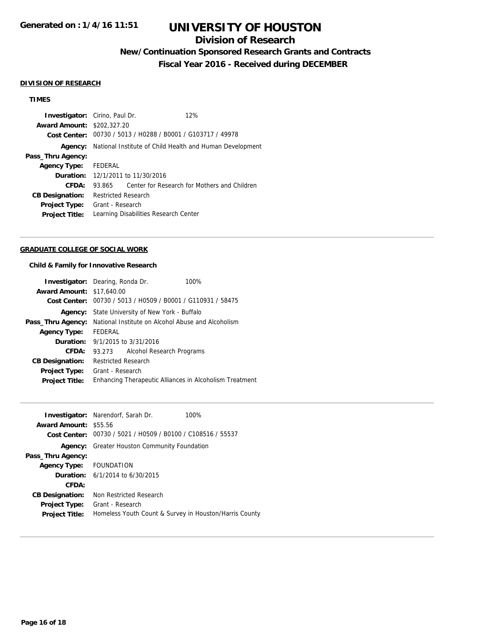## **Division of Research**

# **New/Continuation Sponsored Research Grants and Contracts**

**Fiscal Year 2016 - Received during DECEMBER**

#### **DIVISION OF RESEARCH**

## **TIMES**

| <b>Investigator:</b> Cirino, Paul Dr. |                                                             |  |  | 12%                                          |
|---------------------------------------|-------------------------------------------------------------|--|--|----------------------------------------------|
| <b>Award Amount: \$202,327,20</b>     |                                                             |  |  |                                              |
|                                       | Cost Center: 00730 / 5013 / H0288 / B0001 / G103717 / 49978 |  |  |                                              |
| Agency:                               | National Institute of Child Health and Human Development    |  |  |                                              |
| Pass_Thru Agency:                     |                                                             |  |  |                                              |
| Agency Type: FEDERAL                  |                                                             |  |  |                                              |
|                                       | <b>Duration:</b> 12/1/2011 to 11/30/2016                    |  |  |                                              |
| CFDA:                                 | 93.865                                                      |  |  | Center for Research for Mothers and Children |
| <b>CB Designation:</b>                | <b>Restricted Research</b>                                  |  |  |                                              |
| <b>Project Type:</b>                  | Grant - Research                                            |  |  |                                              |
| <b>Project Title:</b>                 | Learning Disabilities Research Center                       |  |  |                                              |

## **GRADUATE COLLEGE OF SOCIAL WORK**

#### **Child & Family for Innovative Research**

|                                  | <b>Investigator:</b> Dearing, Ronda Dr.<br>100%             |  |  |
|----------------------------------|-------------------------------------------------------------|--|--|
| <b>Award Amount: \$17,640.00</b> |                                                             |  |  |
|                                  | Cost Center: 00730 / 5013 / H0509 / B0001 / G110931 / 58475 |  |  |
|                                  | <b>Agency:</b> State University of New York - Buffalo       |  |  |
| Pass_Thru Agency:                | National Institute on Alcohol Abuse and Alcoholism          |  |  |
| <b>Agency Type:</b>              | FEDERAL                                                     |  |  |
|                                  | <b>Duration:</b> $9/1/2015$ to $3/31/2016$                  |  |  |
| CFDA:                            | Alcohol Research Programs<br>93.273                         |  |  |
| <b>CB Designation:</b>           | <b>Restricted Research</b>                                  |  |  |
| <b>Project Type:</b>             | Grant - Research                                            |  |  |
| <b>Project Title:</b>            | Enhancing Therapeutic Alliances in Alcoholism Treatment     |  |  |

|                              | <b>Investigator:</b> Narendorf, Sarah Dr.<br>100%           |  |  |
|------------------------------|-------------------------------------------------------------|--|--|
| <b>Award Amount: \$55.56</b> |                                                             |  |  |
|                              | Cost Center: 00730 / 5021 / H0509 / B0100 / C108516 / 55537 |  |  |
|                              | <b>Agency:</b> Greater Houston Community Foundation         |  |  |
| Pass_Thru Agency:            |                                                             |  |  |
| Agency Type: FOUNDATION      |                                                             |  |  |
|                              | <b>Duration:</b> $6/1/2014$ to $6/30/2015$                  |  |  |
| CFDA:                        |                                                             |  |  |
| <b>CB Designation:</b>       | Non Restricted Research                                     |  |  |
| <b>Project Type:</b>         | Grant - Research                                            |  |  |
| <b>Project Title:</b>        | Homeless Youth Count & Survey in Houston/Harris County      |  |  |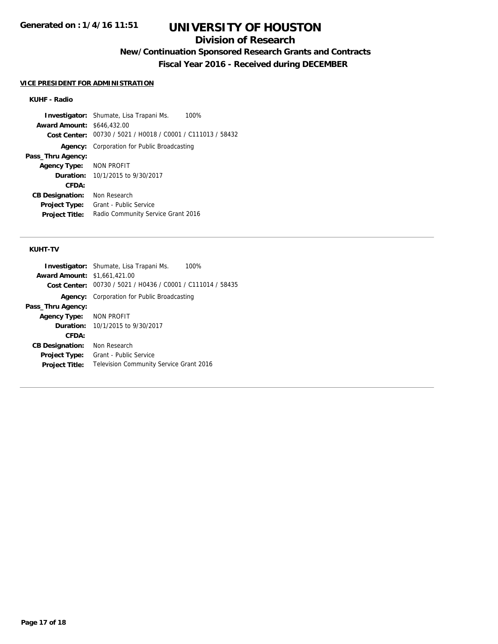## **Division of Research**

**New/Continuation Sponsored Research Grants and Contracts**

**Fiscal Year 2016 - Received during DECEMBER**

#### **VICE PRESIDENT FOR ADMINISTRATION**

### **KUHF - Radio**

**Investigator:** Shumate, Lisa Trapani Ms. 100% **Award Amount:** \$646,432.00 **Cost Center:** 00730 / 5021 / H0018 / C0001 / C111013 / 58432 **Agency:** Corporation for Public Broadcasting **Pass\_Thru Agency: Agency Type:** NON PROFIT **Duration:** 10/1/2015 to 9/30/2017 **CFDA: CB Designation:** Non Research **Project Type:** Grant - Public Service **Project Title:** Radio Community Service Grant 2016

#### **KUHT-TV**

|                                     | 100%<br><b>Investigator:</b> Shumate, Lisa Trapani Ms.      |
|-------------------------------------|-------------------------------------------------------------|
| <b>Award Amount: \$1,661,421.00</b> |                                                             |
|                                     | Cost Center: 00730 / 5021 / H0436 / C0001 / C111014 / 58435 |
|                                     | <b>Agency:</b> Corporation for Public Broadcasting          |
| Pass_Thru Agency:                   |                                                             |
| <b>Agency Type: NON PROFIT</b>      |                                                             |
| <b>Duration:</b>                    | 10/1/2015 to 9/30/2017                                      |
| CFDA:                               |                                                             |
| <b>CB Designation:</b>              | Non Research                                                |
| <b>Project Type:</b>                | Grant - Public Service                                      |
| <b>Project Title:</b>               | <b>Television Community Service Grant 2016</b>              |
|                                     |                                                             |